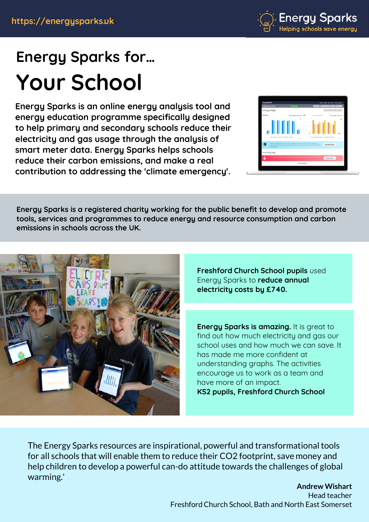

# **Energy Sparks for… Your School**

**Energy Sparks is an online energy analysis tool and energy education programme specifically designed to help primary and secondary schools reduce their electricity and gas usage through the analysis of smart meter data. Energy Sparks helps schools reduce their carbon emissions, and make a real contribution to addressing the 'climate emergency'.**



**Energy Sparks is a registered charity working for the public benefit to develop and promote tools, services and programmes to reduce energy and resource consumption and carbon emissions in schools across the UK.**



**Freshford Church School pupils** used Energy Sparks to **reduce annual electricity costs by £740.**

**Energy Sparks is amazing.** It is great to find out how much electricity and gas our school uses and how much we can save. It has made me more confident at understanding graphs. The activities encourage us to work as a team and have more of an impact. **KS2 pupils, Freshford Church School**

The Energy Sparks resources are inspirational, powerful and transformational tools for all schools that will enable them to reduce their CO2 footprint, save money and help children to develop a powerful can-do attitude towards the challenges of global warming.'

**Andrew Wishart** Head teacher Freshford Church School, Bath and North East Somerset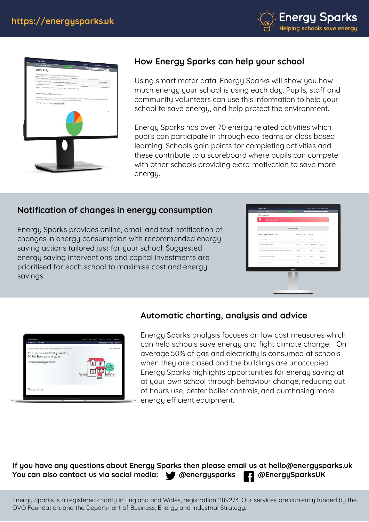



# **How Energy Sparks can help your school**

Using smart meter data, Energy Sparks will show you how much energy your school is using each day. Pupils, staff and community volunteers can use this information to help your school to save energy, and help protect the environment.

Energy Sparks has over 70 energy related activities which pupils can participate in through eco-teams or class based learning. Schools gain points for completing activities and these contribute to a scoreboard where pupils can compete with other schools providing extra motivation to save more energu.

## **Notification of changes in energy consumption**

Energy Sparks provides online, email and text notification of changes in energy consumption with recommended energy saving actions tailored just for your school. Suggested energy saving interventions and capital investments are prioritised for each school to maximise cost and energy savings.

| YOU ENTERT WAS ARRESTED FOR DESIGNATION OF THE CONTRACTOR CONTRACTOR CONTRACTOR<br>E<br>surg, average density means |                         |        |                    |                      |
|---------------------------------------------------------------------------------------------------------------------|-------------------------|--------|--------------------|----------------------|
|                                                                                                                     | Restite origining abst. |        |                    |                      |
| Energy soving opportunities                                                                                         | Template paints. They   |        | <b>fugest</b>      |                      |
| key darlinging powering ft."                                                                                        | <b>SBLue</b>            | $\sim$ | Final              |                      |
| <b>Harmer and The monet Lenned</b>                                                                                  | HA dans                 | 4.90   | I jane il scottino | <b>BREAK DATE</b>    |
| Personal and concern and in this are the minimum and an analyze the concern of the analyze.                         | Hillian - St            |        | Also 1             | <b>But an excel.</b> |
| This project and references in a con-                                                                               | Little or for           |        | hings.             | Fox as your          |
| American profit makes the property state and if                                                                     | MAR (per 1) The         |        | <b>Krist</b>       | to a series'.        |
| <b>DOLL</b>                                                                                                         |                         |        |                    |                      |
|                                                                                                                     |                         |        |                    |                      |

| St Marks C of E School                                                                                                                                                      | floshbeards - Manage School +          |
|-----------------------------------------------------------------------------------------------------------------------------------------------------------------------------|----------------------------------------|
| Your school has used 210,000 lowls of electricity in the last year.<br>This is the electricity used by<br>79 UK homes in a year.<br>First out how much evergy has been used | Characterista Inch<br><b>Telephone</b> |
| Things to do:                                                                                                                                                               |                                        |

#### **Automatic charting, analysis and advice**

Energy Sparks analysis focuses on low cost measures which can help schools save energy and fight climate change. On average 50% of gas and electricity is consumed at schools when they are closed and the buildings are unoccupied. Energy Sparks highlights opportunities for energy saving at at your own school through behaviour change, reducing out of hours use, better boiler controls, and purchasing more energy efficient equipment.

#### **If you have any questions about Energy Sparks then please email us at hello@energysparks.uk** You can also contact us via social media:  $\bullet$  @energysparks **[4]** @EnergySparksUK

Energy Sparks is a registered charity in England and Wales, registration 1189273. Our services are currently funded by the OVO Foundation. and the Department of Business, Energy and Industrial Strategy.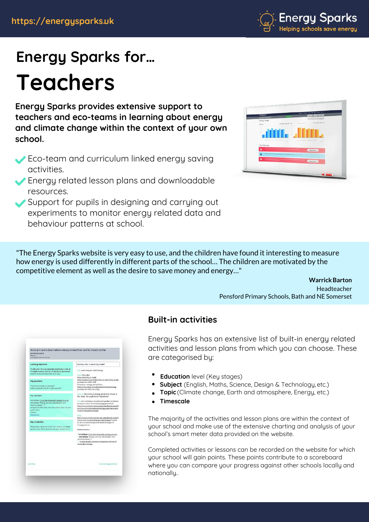

# **Energy Sparks for… Teachers**

**Energy Sparks provides extensive support to teachers and eco-teams in learning about energy and climate change within the context of your own school.**

- Eco-team and curriculum linked energy saving activities.
- Energy related lesson plans and downloadable resources.
- Support for pupils in designing and carrying out experiments to monitor energy related data and behaviour patterns at school.

| <b>Enalted Sports</b>                                                                          |                                                  | Name: Printers cleans and player power that he<br>anon an ann                                                                                                                                                                                                                                                                                                                                                                                                                                                            |
|------------------------------------------------------------------------------------------------|--------------------------------------------------|--------------------------------------------------------------------------------------------------------------------------------------------------------------------------------------------------------------------------------------------------------------------------------------------------------------------------------------------------------------------------------------------------------------------------------------------------------------------------------------------------------------------------|
| <b>BARSHIPPI GAN STORE</b>                                                                     | <b>Harry</b>                                     | Current manager areas program                                                                                                                                                                                                                                                                                                                                                                                                                                                                                            |
| Energy Usoge.                                                                                  |                                                  |                                                                                                                                                                                                                                                                                                                                                                                                                                                                                                                          |
| <b>FORSY</b>                                                                                   | competition and the                              | <b>RASKY saids / Bill Inner</b>                                                                                                                                                                                                                                                                                                                                                                                                                                                                                          |
| ٠                                                                                              |                                                  |                                                                                                                                                                                                                                                                                                                                                                                                                                                                                                                          |
| $\frac{1}{2} \left( \frac{1}{2} \right) \left( \frac{1}{2} \right) \left( \frac{1}{2} \right)$ |                                                  |                                                                                                                                                                                                                                                                                                                                                                                                                                                                                                                          |
|                                                                                                |                                                  |                                                                                                                                                                                                                                                                                                                                                                                                                                                                                                                          |
|                                                                                                |                                                  |                                                                                                                                                                                                                                                                                                                                                                                                                                                                                                                          |
|                                                                                                |                                                  |                                                                                                                                                                                                                                                                                                                                                                                                                                                                                                                          |
| \$1,000 miles, \$1,000 miles.                                                                  | <b>Service</b>                                   | <b>Associate contents Associate Grande</b><br>$\frac{1}{2} \left( \frac{1}{2} \right) \left( \frac{1}{2} \right) \left( \frac{1}{2} \right) \left( \frac{1}{2} \right) \left( \frac{1}{2} \right) \left( \frac{1}{2} \right) \left( \frac{1}{2} \right) \left( \frac{1}{2} \right) \left( \frac{1}{2} \right) \left( \frac{1}{2} \right) \left( \frac{1}{2} \right) \left( \frac{1}{2} \right) \left( \frac{1}{2} \right) \left( \frac{1}{2} \right) \left( \frac{1}{2} \right) \left( \frac{1}{2} \right) \left( \frac$ |
|                                                                                                |                                                  |                                                                                                                                                                                                                                                                                                                                                                                                                                                                                                                          |
| Actor-chickenses                                                                               |                                                  |                                                                                                                                                                                                                                                                                                                                                                                                                                                                                                                          |
|                                                                                                | <b>All and Commercial Services</b>               | Trentras.                                                                                                                                                                                                                                                                                                                                                                                                                                                                                                                |
|                                                                                                |                                                  |                                                                                                                                                                                                                                                                                                                                                                                                                                                                                                                          |
|                                                                                                | <b>WIND CONTRACTOR IN EXPLORATION CONTRACTOR</b> |                                                                                                                                                                                                                                                                                                                                                                                                                                                                                                                          |
| <b>STATISTICS</b><br>۵                                                                         |                                                  |                                                                                                                                                                                                                                                                                                                                                                                                                                                                                                                          |
|                                                                                                |                                                  | <b>Front two</b>                                                                                                                                                                                                                                                                                                                                                                                                                                                                                                         |
|                                                                                                |                                                  |                                                                                                                                                                                                                                                                                                                                                                                                                                                                                                                          |
|                                                                                                |                                                  |                                                                                                                                                                                                                                                                                                                                                                                                                                                                                                                          |
|                                                                                                |                                                  |                                                                                                                                                                                                                                                                                                                                                                                                                                                                                                                          |

"The Energy Sparks website is very easy to use, and the children have found it interesting to measure how energy is used differently in different parts of the school… The children are motivated by the competitive element as well as the desire to save money and energy…"

#### **Warrick Barton**

Headteacher Pensford Primary Schools, Bath and NE Somerset

# **Built-in activities**

Energy Sparks has an extensive list of built-in energy related activities and lesson plans from which you can choose. These

- are categorised by:<br>• Education level (Ke **Education** level (Key stages) .
	- **Subject** (English, Maths, Science, Design & Technology, etc.)
- **Topic Climate change, Earth and atmosphere, Energy, etc.)**<br> **Topic** (Climate change, Earth and atmosphere, Energy, etc.) .
- **Timescale**

The majority of the activities and lesson plans are within the context of your school and make use of the extensive charting and analysis of your school's smart meter data provided on the website.

Completed activities or lessons can be recorded on the website for which your school will gain points. These points contribute to a scoreboard where you can compare your progress against other schools locally and nationally..

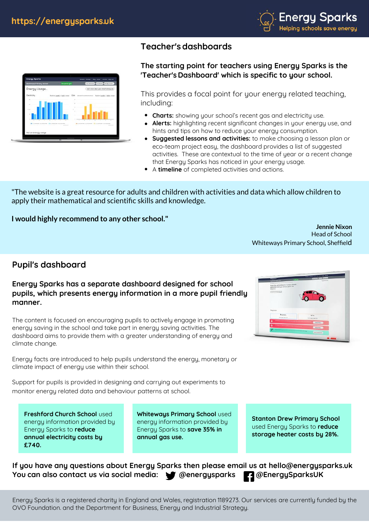

#### **Teacher's dashboards**

#### **The starting point for teachers using Energy Sparks is the 'Teacher's Dashboard' which is specific to your school.**

This provides a focal point for your energy related teaching. including:<br>• Charts

- **Charts:** showing your school's recent gas and electricity use.
- **Alerts:** highlighting recent significant changes in your energy use, and hints and tips on how to reduce your energy consumption. **Suggested lessons and activities:** to make choosing a lesson plan or **Suggested lessons and activities:** to make choosing a lesson plan or .
- eco-team project easy, the dashboard provides a list of suggested activities. These are contextual to the time of year or a recent change that Energy Sparks has noticed in your energy usage. activities. These are contextual to the time of<br>that Energy Sparks has noticed in your energy<br>A **timeline** of completed activities and actions.
- 

"The website is a great resource for adults and children with activities and data which allow children to apply their mathematical and scientific skills and knowledge.

**I would highly recommend to any other school."**

**Jennie Nixon** Head of School Whiteways Primary School, Sheffield

### **Pupil's dashboard**

#### **Energy Sparks has a separate dashboard designed for school pupils, which presents energy information in a more pupil friendly manner.**

The content is focused on encouraging pupils to actively engage in promoting energy saving in the school and take part in energy saving activities. The dashboard aims to provide them with a greater understanding of energy and climate change.

Energy facts are introduced to help pupils understand the energy, monetary or climate impact of energy use within their school.

Support for pupils is provided in designing and carrying out experiments to monitor energy related data and behaviour patterns at school.

**Freshford Church School** used energy information provided by Energy Sparks to **reduce annual electricity costs by £740.**

**Whiteways Primary School** used energy information provided by Energy Sparks to **save 35% in annual gas use.**

**Stanton Drew Primary School**  used Energy Sparks to **reduce storage heater costs by 28%.** 

**If you have any questions about Energy Sparks then please email us at hello@energysparks.uk** You can also contact us via social media:  $\bullet$  @energysparks **@EnergySparksUK** 



Energy Sparks is a registered charity in England and Wales, registration 1189273. Our services are currently funded by the OVO Foundation. and the Department for Business, Energy and Industrial Strategy.